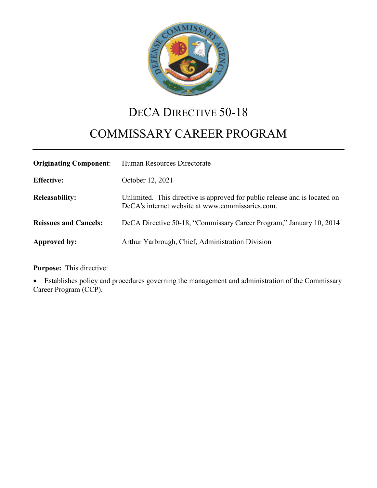

# DECA DIRECTIVE 50-18

# COMMISSARY CAREER PROGRAM

| <b>Originating Component:</b> | Human Resources Directorate                                                                                                    |
|-------------------------------|--------------------------------------------------------------------------------------------------------------------------------|
| <b>Effective:</b>             | October 12, 2021                                                                                                               |
| <b>Releasability:</b>         | Unlimited. This directive is approved for public release and is located on<br>DeCA's internet website at www.commissaries.com. |
| <b>Reissues and Cancels:</b>  | DeCA Directive 50-18, "Commissary Career Program," January 10, 2014                                                            |
| Approved by:                  | Arthur Yarbrough, Chief, Administration Division                                                                               |

**Purpose:** This directive:

• Establishes policy and procedures governing the management and administration of the Commissary Career Program (CCP).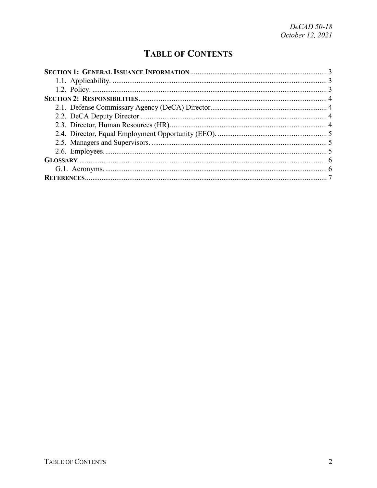## **TABLE OF CONTENTS**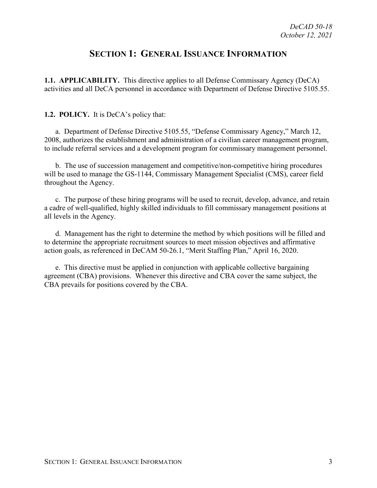## **SECTION 1: GENERAL ISSUANCE INFORMATION**

<span id="page-2-1"></span><span id="page-2-0"></span>**1.1. APPLICABILITY.** This directive applies to all Defense Commissary Agency (DeCA) activities and all DeCA personnel in accordance with Department of Defense Directive 5105.55.

<span id="page-2-2"></span>**1.2. POLICY.** It is DeCA's policy that:

a. Department of Defense Directive 5105.55, "Defense Commissary Agency," March 12, 2008, authorizes the establishment and administration of a civilian career management program, to include referral services and a development program for commissary management personnel.

b. The use of succession management and competitive/non-competitive hiring procedures will be used to manage the GS-1144, Commissary Management Specialist (CMS), career field throughout the Agency.

c. The purpose of these hiring programs will be used to recruit, develop, advance, and retain a cadre of well-qualified, highly skilled individuals to fill commissary management positions at all levels in the Agency.

d. Management has the right to determine the method by which positions will be filled and to determine the appropriate recruitment sources to meet mission objectives and affirmative action goals, as referenced in DeCAM 50-26.1, "Merit Staffing Plan," April 16, 2020.

e. This directive must be applied in conjunction with applicable collective bargaining agreement (CBA) provisions. Whenever this directive and CBA cover the same subject, the CBA prevails for positions covered by the CBA.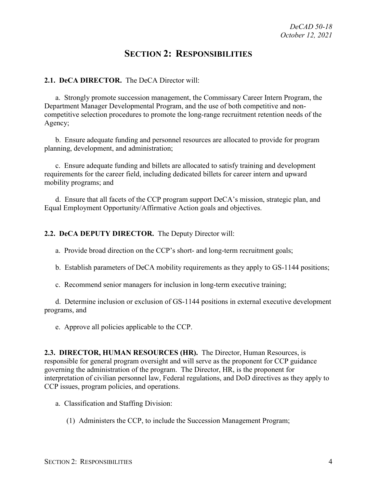## **SECTION 2: RESPONSIBILITIES**

#### <span id="page-3-1"></span><span id="page-3-0"></span>**2.1. DeCA DIRECTOR.** The DeCA Director will:

a. Strongly promote succession management, the Commissary Career Intern Program, the Department Manager Developmental Program, and the use of both competitive and noncompetitive selection procedures to promote the long-range recruitment retention needs of the Agency;

b. Ensure adequate funding and personnel resources are allocated to provide for program planning, development, and administration;

c. Ensure adequate funding and billets are allocated to satisfy training and development requirements for the career field, including dedicated billets for career intern and upward mobility programs; and

d. Ensure that all facets of the CCP program support DeCA's mission, strategic plan, and Equal Employment Opportunity/Affirmative Action goals and objectives.

#### <span id="page-3-2"></span>**2.2. DeCA DEPUTY DIRECTOR.** The Deputy Director will:

a. Provide broad direction on the CCP's short- and long-term recruitment goals;

b. Establish parameters of DeCA mobility requirements as they apply to GS-1144 positions;

c. Recommend senior managers for inclusion in long-term executive training;

d. Determine inclusion or exclusion of GS-1144 positions in external executive development programs, and

e. Approve all policies applicable to the CCP.

<span id="page-3-3"></span>**2.3. DIRECTOR, HUMAN RESOURCES (HR).** The Director, Human Resources, is responsible for general program oversight and will serve as the proponent for CCP guidance governing the administration of the program. The Director, HR, is the proponent for interpretation of civilian personnel law, Federal regulations, and DoD directives as they apply to CCP issues, program policies, and operations.

- a. Classification and Staffing Division:
	- (1) Administers the CCP, to include the Succession Management Program;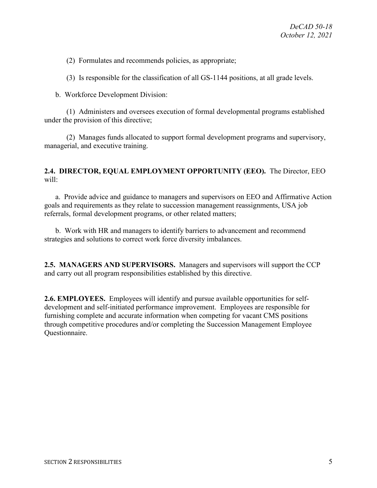(2) Formulates and recommends policies, as appropriate;

(3) Is responsible for the classification of all GS-1144 positions, at all grade levels.

b. Workforce Development Division:

(1) Administers and oversees execution of formal developmental programs established under the provision of this directive;

(2) Manages funds allocated to support formal development programs and supervisory, managerial, and executive training.

#### <span id="page-4-0"></span>**2.4. DIRECTOR, EQUAL EMPLOYMENT OPPORTUNITY (EEO).** The Director, EEO will:

a. Provide advice and guidance to managers and supervisors on EEO and Affirmative Action goals and requirements as they relate to succession management reassignments, USA job referrals, formal development programs, or other related matters;

b. Work with HR and managers to identify barriers to advancement and recommend strategies and solutions to correct work force diversity imbalances.

<span id="page-4-1"></span>**2.5. MANAGERS AND SUPERVISORS.** Managers and supervisors will support the CCP and carry out all program responsibilities established by this directive.

<span id="page-4-2"></span>**2.6. EMPLOYEES.** Employees will identify and pursue available opportunities for selfdevelopment and self-initiated performance improvement. Employees are responsible for furnishing complete and accurate information when competing for vacant CMS positions through competitive procedures and/or completing the Succession Management Employee Questionnaire.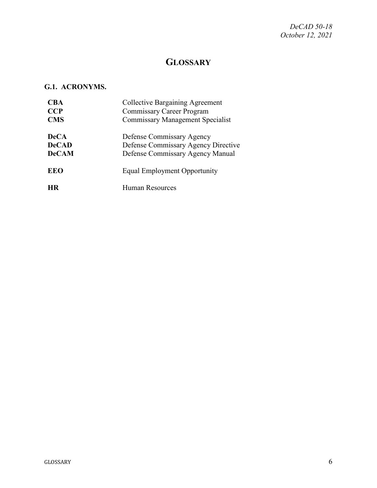## **GLOSSARY**

### <span id="page-5-1"></span><span id="page-5-0"></span>**G.1. ACRONYMS.**

| <b>CBA</b>   | <b>Collective Bargaining Agreement</b>  |  |
|--------------|-----------------------------------------|--|
| <b>CCP</b>   | <b>Commissary Career Program</b>        |  |
| <b>CMS</b>   | <b>Commissary Management Specialist</b> |  |
| <b>DeCA</b>  | Defense Commissary Agency               |  |
| <b>DeCAD</b> | Defense Commissary Agency Directive     |  |
| <b>DeCAM</b> | Defense Commissary Agency Manual        |  |
| <b>EEO</b>   | <b>Equal Employment Opportunity</b>     |  |
| HR           | Human Resources                         |  |